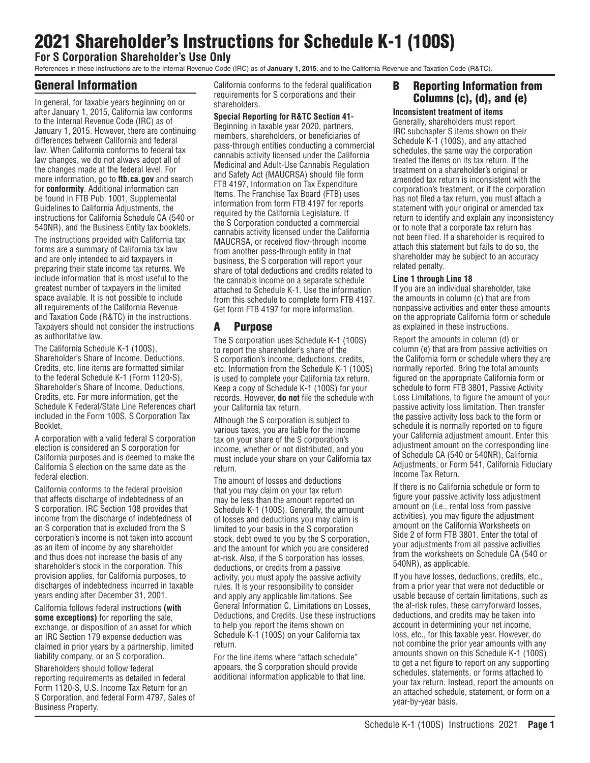# 2021 Shareholder's Instructions for Schedule K-1 (100S)

**For S Corporation Shareholder's Use Only**

References in these instructions are to the Internal Revenue Code (IRC) as of **January 1, 2015**, and to the California Revenue and Taxation Code (R&TC).

# General Information

In general, for taxable years beginning on or after January 1, 2015, California law conforms to the Internal Revenue Code (IRC) as of January 1, 2015. However, there are continuing differences between California and federal law. When California conforms to federal tax law changes, we do not always adopt all of the changes made at the federal level. For more information, go to **ftb.ca.gov** and search for **conformity**. Additional information can be found in FTB Pub. 1001, Supplemental Guidelines to California Adjustments, the instructions for California Schedule CA (540 or 540NR), and the Business Entity tax booklets.

The instructions provided with California tax forms are a summary of California tax law and are only intended to aid taxpayers in preparing their state income tax returns. We include information that is most useful to the greatest number of taxpayers in the limited space available. It is not possible to include all requirements of the California Revenue and Taxation Code (R&TC) in the instructions. Taxpayers should not consider the instructions as authoritative law.

The California Schedule K-1 (100S), Shareholder's Share of Income, Deductions, Credits, etc. line items are formatted similar to the federal Schedule K-1 (Form 1120-S), Shareholder's Share of Income, Deductions, Credits, etc. For more information, get the Schedule K Federal/State Line References chart included in the Form 100S, S Corporation Tax Booklet.

A corporation with a valid federal S corporation election is considered an S corporation for California purposes and is deemed to make the California S election on the same date as the federal election.

California conforms to the federal provision that affects discharge of indebtedness of an S corporation. IRC Section 108 provides that income from the discharge of indebtedness of an S corporation that is excluded from the S corporation's income is not taken into account as an item of income by any shareholder and thus does not increase the basis of any shareholder's stock in the corporation. This provision applies, for California purposes, to discharges of indebtedness incurred in taxable years ending after December 31, 2001.

California follows federal instructions **(with some exceptions)** for reporting the sale, exchange, or disposition of an asset for which an IRC Section 179 expense deduction was claimed in prior years by a partnership, limited liability company, or an S corporation.

Shareholders should follow federal reporting requirements as detailed in federal Form 1120-S, U.S. Income Tax Return for an S Corporation, and federal Form 4797, Sales of Business Property.

California conforms to the federal qualification requirements for S corporations and their shareholders.

# **Special Reporting for R&TC Section 41-**

Beginning in taxable year 2020, partners, members, shareholders, or beneficiaries of pass-through entities conducting a commercial cannabis activity licensed under the California Medicinal and Adult-Use Cannabis Regulation and Safety Act (MAUCRSA) should file form FTB 4197, Information on Tax Expenditure Items. The Franchise Tax Board (FTB) uses information from form FTB 4197 for reports required by the California Legislature. If the S Corporation conducted a commercial cannabis activity licensed under the California MAUCRSA, or received flow-through income from another pass-through entity in that business, the S corporation will report your share of total deductions and credits related to the cannabis income on a separate schedule attached to Schedule K-1. Use the information from this schedule to complete form FTB 4197. Get form FTB 4197 for more information.

# A Purpose

The S corporation uses Schedule K-1 (100S) to report the shareholder's share of the S corporation's income, deductions, credits, etc. Information from the Schedule K-1 (100S) is used to complete your California tax return. Keep a copy of Schedule K-1 (100S) for your records. However, **do not** file the schedule with your California tax return.

Although the S corporation is subject to various taxes, you are liable for the income tax on your share of the S corporation's income, whether or not distributed, and you must include your share on your California tax return.

The amount of losses and deductions that you may claim on your tax return may be less than the amount reported on Schedule K-1 (100S). Generally, the amount of losses and deductions you may claim is limited to your basis in the S corporation stock, debt owed to you by the S corporation, and the amount for which you are considered at-risk. Also, if the S corporation has losses, deductions, or credits from a passive activity, you must apply the passive activity rules. It is your responsibility to consider and apply any applicable limitations. See General Information C, Limitations on Losses, Deductions, and Credits. Use these instructions to help you report the items shown on Schedule K-1 (100S) on your California tax return.

For the line items where "attach schedule" appears, the S corporation should provide additional information applicable to that line.

# B Reporting Information from Columns (c), (d), and (e)

**Inconsistent treatment of items**

Generally, shareholders must report IRC subchapter S items shown on their Schedule K-1 (100S), and any attached schedules, the same way the corporation treated the items on its tax return. If the treatment on a shareholder's original or amended tax return is inconsistent with the corporation's treatment, or if the corporation has not filed a tax return, you must attach a statement with your original or amended tax return to identify and explain any inconsistency or to note that a corporate tax return has not been filed. If a shareholder is required to attach this statement but fails to do so, the shareholder may be subject to an accuracy related penalty.

### **Line 1 through Line 18**

If you are an individual shareholder, take the amounts in column (c) that are from nonpassive activities and enter these amounts on the appropriate California form or schedule as explained in these instructions.

Report the amounts in column (d) or column (e) that are from passive activities on the California form or schedule where they are normally reported. Bring the total amounts figured on the appropriate California form or schedule to form FTB 3801, Passive Activity Loss Limitations, to figure the amount of your passive activity loss limitation. Then transfer the passive activity loss back to the form or schedule it is normally reported on to figure your California adjustment amount. Enter this adjustment amount on the corresponding line of Schedule CA (540 or 540NR), California Adjustments, or Form 541, California Fiduciary Income Tax Return.

If there is no California schedule or form to figure your passive activity loss adjustment amount on (i.e., rental loss from passive activities), you may figure the adjustment amount on the California Worksheets on Side 2 of form FTB 3801. Enter the total of your adjustments from all passive activities from the worksheets on Schedule CA (540 or 540NR), as applicable.

If you have losses, deductions, credits, etc., from a prior year that were not deductible or usable because of certain limitations, such as the at-risk rules, these carryforward losses, deductions, and credits may be taken into account in determining your net income, loss, etc., for this taxable year. However, do not combine the prior year amounts with any amounts shown on this Schedule K-1 (100S) to get a net figure to report on any supporting schedules, statements, or forms attached to your tax return. Instead, report the amounts on an attached schedule, statement, or form on a year-by-year basis.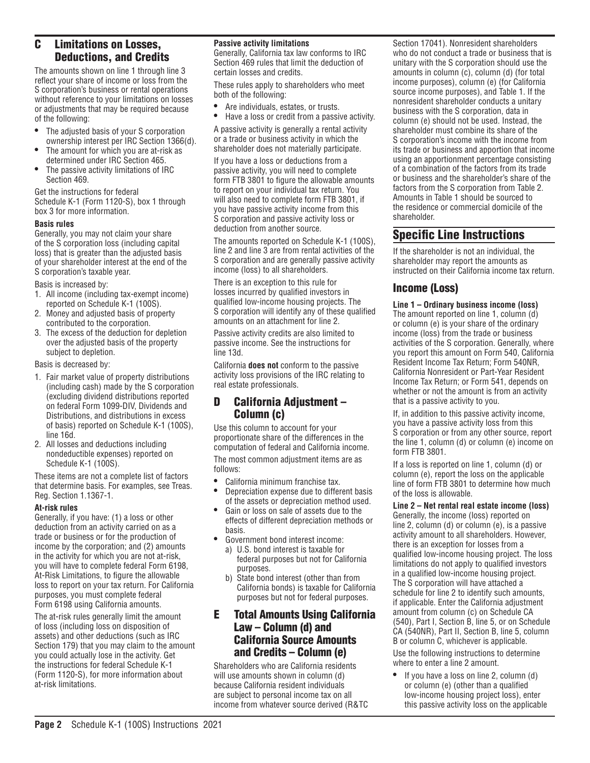# C Limitations on Losses, Deductions, and Credits

The amounts shown on line 1 through line 3 reflect your share of income or loss from the S corporation's business or rental operations without reference to your limitations on losses or adjustments that may be required because of the following:

- The adjusted basis of your S corporation ownership interest per IRC Section 1366(d).
- The amount for which you are at-risk as determined under IRC Section 465.
- The passive activity limitations of IRC Section 469.

Get the instructions for federal Schedule K-1 (Form 1120-S), box 1 through box 3 for more information.

### **Basis rules**

Generally, you may not claim your share of the S corporation loss (including capital loss) that is greater than the adjusted basis of your shareholder interest at the end of the S corporation's taxable year.

Basis is increased by:

- 1. All income (including tax-exempt income) reported on Schedule K-1 (100S).
- 2. Money and adjusted basis of property contributed to the corporation.
- 3. The excess of the deduction for depletion over the adjusted basis of the property subject to depletion.

Basis is decreased by:

- 1. Fair market value of property distributions (including cash) made by the S corporation (excluding dividend distributions reported on federal Form 1099-DIV, Dividends and Distributions, and distributions in excess of basis) reported on Schedule K-1 (100S), line 16d.
- 2. All losses and deductions including nondeductible expenses) reported on Schedule K-1 (100S).

These items are not a complete list of factors that determine basis. For examples, see Treas. Reg. Section 1.1367-1.

### **At-risk rules**

Generally, if you have: (1) a loss or other deduction from an activity carried on as a trade or business or for the production of income by the corporation; and (2) amounts in the activity for which you are not at-risk, you will have to complete federal Form 6198, At-Risk Limitations, to figure the allowable loss to report on your tax return. For California purposes, you must complete federal Form 6198 using California amounts.

The at-risk rules generally limit the amount of loss (including loss on disposition of assets) and other deductions (such as IRC Section 179) that you may claim to the amount you could actually lose in the activity. Get the instructions for federal Schedule K-1 (Form 1120-S), for more information about at-risk limitations.

### **Passive activity limitations**

Generally, California tax law conforms to IRC Section 469 rules that limit the deduction of certain losses and credits.

These rules apply to shareholders who meet both of the following:

- Are individuals, estates, or trusts.<br>• Have a loss or credit from a passi-
- Have a loss or credit from a passive activity.

A passive activity is generally a rental activity or a trade or business activity in which the shareholder does not materially participate.

If you have a loss or deductions from a passive activity, you will need to complete form FTB 3801 to figure the allowable amounts to report on your individual tax return. You will also need to complete form FTB 3801, if you have passive activity income from this S corporation and passive activity loss or deduction from another source.

The amounts reported on Schedule K-1 (100S), line 2 and line 3 are from rental activities of the S corporation and are generally passive activity income (loss) to all shareholders.

There is an exception to this rule for losses incurred by qualified investors in qualified low-income housing projects. The S corporation will identify any of these qualified amounts on an attachment for line 2.

Passive activity credits are also limited to passive income. See the instructions for line 13d.

California **does not** conform to the passive activity loss provisions of the IRC relating to real estate professionals.

# D California Adjustment – Column (c)

Use this column to account for your proportionate share of the differences in the computation of federal and California income.

The most common adjustment items are as follows:

- California minimum franchise tax.
- Depreciation expense due to different basis of the assets or depreciation method used.
- Gain or loss on sale of assets due to the effects of different depreciation methods or basis.
- Government bond interest income:
- a) U.S. bond interest is taxable for federal purposes but not for California purposes.
- b) State bond interest (other than from California bonds) is taxable for California purposes but not for federal purposes.

# E Total Amounts Using California Law – Column (d) and California Source Amounts and Credits – Column (e)

Shareholders who are California residents will use amounts shown in column (d) because California resident individuals are subject to personal income tax on all income from whatever source derived (R&TC Section 17041). Nonresident shareholders who do not conduct a trade or business that is unitary with the S corporation should use the amounts in column (c), column (d) (for total income purposes), column (e) (for California source income purposes), and Table 1. If the nonresident shareholder conducts a unitary business with the S corporation, data in column (e) should not be used. Instead, the shareholder must combine its share of the S corporation's income with the income from its trade or business and apportion that income using an apportionment percentage consisting of a combination of the factors from its trade or business and the shareholder's share of the factors from the S corporation from Table 2. Amounts in Table 1 should be sourced to the residence or commercial domicile of the shareholder.

# Specific Line Instructions

If the shareholder is not an individual, the shareholder may report the amounts as instructed on their California income tax return.

# Income (Loss)

**Line 1 – Ordinary business income (loss)** 

The amount reported on line 1, column (d) or column (e) is your share of the ordinary income (loss) from the trade or business activities of the S corporation. Generally, where you report this amount on Form 540, California Resident Income Tax Return; Form 540NR, California Nonresident or Part-Year Resident Income Tax Return; or Form 541, depends on whether or not the amount is from an activity that is a passive activity to you.

If, in addition to this passive activity income, you have a passive activity loss from this S corporation or from any other source, report the line 1, column (d) or column (e) income on form FTB 3801.

If a loss is reported on line 1, column (d) or column (e), report the loss on the applicable line of form FTB 3801 to determine how much of the loss is allowable.

**Line 2 – Net rental real estate income (loss)**  Generally, the income (loss) reported on line 2, column (d) or column (e), is a passive activity amount to all shareholders. However, there is an exception for losses from a qualified low-income housing project. The loss limitations do not apply to qualified investors in a qualified low-income housing project. The S corporation will have attached a schedule for line 2 to identify such amounts, if applicable. Enter the California adjustment amount from column (c) on Schedule CA (540), Part I, Section B, line 5, or on Schedule CA (540NR), Part II, Section B, line 5, column B or column C, whichever is applicable.

Use the following instructions to determine where to enter a line 2 amount.

If you have a loss on line 2, column (d) or column (e) (other than a qualified low-income housing project loss), enter this passive activity loss on the applicable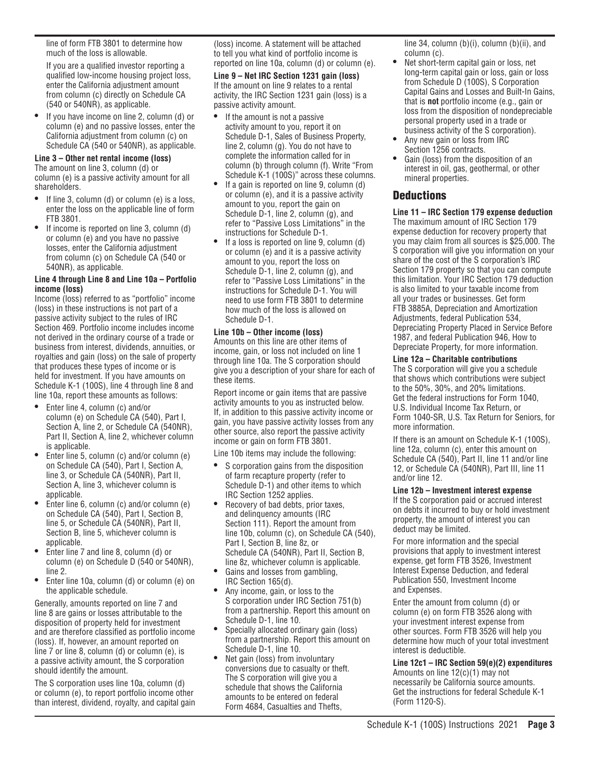line of form FTB 3801 to determine how much of the loss is allowable.

If you are a qualified investor reporting a qualified low-income housing project loss, enter the California adjustment amount from column (c) directly on Schedule CA (540 or 540NR), as applicable.

• If you have income on line 2, column (d) or column (e) and no passive losses, enter the California adjustment from column (c) on Schedule CA (540 or 540NR), as applicable.

### **Line 3 – Other net rental income (loss)**

The amount on line 3, column (d) or column (e) is a passive activity amount for all shareholders.

- If line 3, column (d) or column (e) is a loss, enter the loss on the applicable line of form FTB 3801.
- If income is reported on line 3, column (d) or column (e) and you have no passive losses, enter the California adjustment from column (c) on Schedule CA (540 or 540NR), as applicable.

#### **Line 4 through Line 8 and Line 10a – Portfolio income (loss)**

Income (loss) referred to as "portfolio" income (loss) in these instructions is not part of a passive activity subject to the rules of IRC Section 469. Portfolio income includes income not derived in the ordinary course of a trade or business from interest, dividends, annuities, or royalties and gain (loss) on the sale of property that produces these types of income or is held for investment. If you have amounts on Schedule K-1 (100S), line 4 through line 8 and line 10a, report these amounts as follows:

- Enter line 4, column (c) and/or column (e) on Schedule CA (540), Part I, Section A, line 2, or Schedule CA (540NR), Part II, Section A, line 2, whichever column is applicable.
- Enter line 5, column (c) and/or column (e) on Schedule CA (540), Part I, Section A, line 3, or Schedule CA (540NR), Part II, Section A, line 3, whichever column is applicable.
- Enter line 6, column (c) and/or column (e) on Schedule CA (540), Part I, Section B, line 5, or Schedule CA (540NR), Part II, Section B, line 5, whichever column is applicable.
- Enter line 7 and line 8, column (d) or column (e) on Schedule D (540 or 540NR), line 2.
- Enter line 10a, column (d) or column (e) on the applicable schedule.

Generally, amounts reported on line 7 and line 8 are gains or losses attributable to the disposition of property held for investment and are therefore classified as portfolio income (loss). If, however, an amount reported on line 7 or line 8, column (d) or column (e), is a passive activity amount, the S corporation should identify the amount.

The S corporation uses line 10a, column (d) or column (e), to report portfolio income other than interest, dividend, royalty, and capital gain (loss) income. A statement will be attached to tell you what kind of portfolio income is reported on line 10a, column (d) or column (e).

**Line 9 – Net IRC Section 1231 gain (loss)** If the amount on line 9 relates to a rental activity, the IRC Section 1231 gain (loss) is a passive activity amount.

- If the amount is not a passive activity amount to you, report it on Schedule D-1, Sales of Business Property, line 2, column (g). You do not have to complete the information called for in column (b) through column (f). Write "From Schedule K-1 (100S)" across these columns.
- If a gain is reported on line 9, column (d) or column (e), and it is a passive activity amount to you, report the gain on Schedule D-1, line 2, column (g), and refer to "Passive Loss Limitations" in the instructions for Schedule D-1.
- If a loss is reported on line 9, column (d) or column (e) and it is a passive activity amount to you, report the loss on Schedule D-1, line 2, column (g), and refer to "Passive Loss Limitations" in the instructions for Schedule D-1. You will need to use form FTB 3801 to determine how much of the loss is allowed on Schedule D-1.

#### **Line 10b – Other income (loss)**

Amounts on this line are other items of income, gain, or loss not included on line 1 through line 10a. The S corporation should give you a description of your share for each of these items.

Report income or gain items that are passive activity amounts to you as instructed below. If, in addition to this passive activity income or gain, you have passive activity losses from any other source, also report the passive activity income or gain on form FTB 3801.

Line 10b items may include the following:

- S corporation gains from the disposition of farm recapture property (refer to Schedule D-1) and other items to which IRC Section 1252 applies.
- Recovery of bad debts, prior taxes, and delinquency amounts (IRC Section 111). Report the amount from line 10b, column (c), on Schedule CA (540), Part I, Section B, line 8z, or Schedule CA (540NR), Part II, Section B, line 8z, whichever column is applicable.
- Gains and losses from gambling, IRC Section 165(d).
- Any income, gain, or loss to the S corporation under IRC Section 751(b) from a partnership. Report this amount on Schedule D-1, line 10.
- Specially allocated ordinary gain (loss) from a partnership. Report this amount on Schedule D-1, line 10.
- Net gain (loss) from involuntary conversions due to casualty or theft. The S corporation will give you a schedule that shows the California amounts to be entered on federal Form 4684, Casualties and Thefts,

line 34, column (b)(i), column (b)(ii), and column (c).

- Net short-term capital gain or loss, net long-term capital gain or loss, gain or loss from Schedule D (100S), S Corporation Capital Gains and Losses and Built-In Gains, that is **not** portfolio income (e.g., gain or loss from the disposition of nondepreciable personal property used in a trade or business activity of the S corporation).
- Any new gain or loss from IRC Section 1256 contracts.
- Gain (loss) from the disposition of an interest in oil, gas, geothermal, or other mineral properties.

# **Deductions**

**Line 11 – IRC Section 179 expense deduction** The maximum amount of IRC Section 179 expense deduction for recovery property that you may claim from all sources is \$25,000. The S corporation will give you information on your share of the cost of the S corporation's IRC Section 179 property so that you can compute this limitation. Your IRC Section 179 deduction is also limited to your taxable income from all your trades or businesses. Get form FTB 3885A, Depreciation and Amortization Adjustments, federal Publication 534, Depreciating Property Placed in Service Before 1987, and federal Publication 946, How to Depreciate Property, for more information.

### **Line 12a – Charitable contributions**

The S corporation will give you a schedule that shows which contributions were subject to the 50%, 30%, and 20% limitations. Get the federal instructions for Form 1040, U.S. Individual Income Tax Return, or Form 1040-SR, U.S. Tax Return for Seniors, for more information.

If there is an amount on Schedule K-1 (100S), line 12a, column (c), enter this amount on Schedule CA (540), Part II, line 11 and/or line 12, or Schedule CA (540NR), Part III, line 11 and/or line 12.

### **Line 12b – Investment interest expense**

If the S corporation paid or accrued interest on debts it incurred to buy or hold investment property, the amount of interest you can deduct may be limited.

For more information and the special provisions that apply to investment interest expense, get form FTB 3526, Investment Interest Expense Deduction, and federal Publication 550, Investment Income and Expenses.

Enter the amount from column (d) or column (e) on form FTB 3526 along with your investment interest expense from other sources. Form FTB 3526 will help you determine how much of your total investment interest is deductible.

**Line 12c1 – IRC Section 59(e)(2) expenditures** Amounts on line 12(c)(1) may not necessarily be California source amounts. Get the instructions for federal Schedule K-1 (Form 1120-S).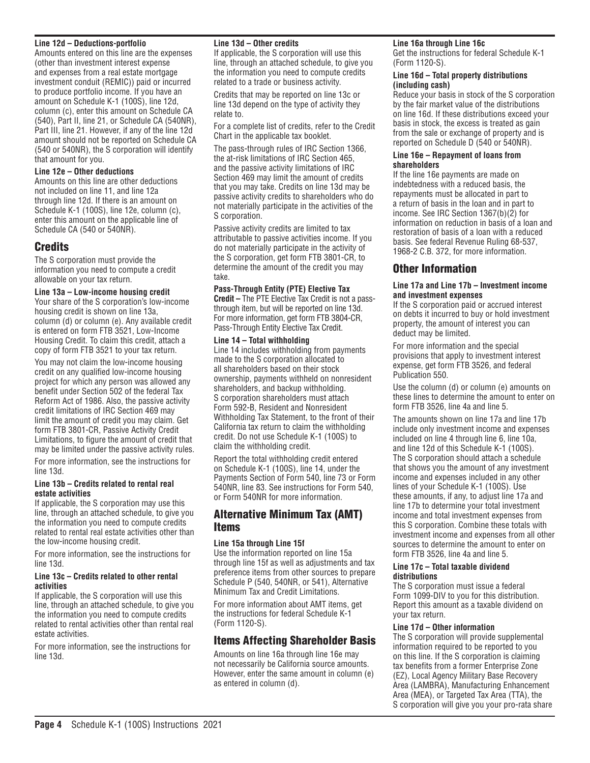#### **Line 12d – Deductions-portfolio**

Amounts entered on this line are the expenses (other than investment interest expense and expenses from a real estate mortgage investment conduit (REMIC)) paid or incurred to produce portfolio income. If you have an amount on Schedule K-1 (100S), line 12d, column (c), enter this amount on Schedule CA (540), Part II, line 21, or Schedule CA (540NR), Part III, line 21. However, if any of the line 12d amount should not be reported on Schedule CA (540 or 540NR), the S corporation will identify that amount for you.

### **Line 12e – Other deductions**

Amounts on this line are other deductions not included on line 11, and line 12a through line 12d. If there is an amount on Schedule K-1 (100S), line 12e, column (c), enter this amount on the applicable line of Schedule CA (540 or 540NR).

### Credits

The S corporation must provide the information you need to compute a credit allowable on your tax return.

#### **Line 13a – Low-income housing credit**

Your share of the S corporation's low-income housing credit is shown on line 13a, column (d) or column (e). Any available credit is entered on form FTB 3521, Low-Income Housing Credit. To claim this credit, attach a copy of form FTB 3521 to your tax return.

You may not claim the low-income housing credit on any qualified low-income housing project for which any person was allowed any benefit under Section 502 of the federal Tax Reform Act of 1986. Also, the passive activity credit limitations of IRC Section 469 may limit the amount of credit you may claim. Get form FTB 3801-CR, Passive Activity Credit Limitations, to figure the amount of credit that may be limited under the passive activity rules.

For more information, see the instructions for line 13d.

#### **Line 13b – Credits related to rental real estate activities**

If applicable, the S corporation may use this line, through an attached schedule, to give you the information you need to compute credits related to rental real estate activities other than the low-income housing credit.

For more information, see the instructions for line 13d.

#### **Line 13c – Credits related to other rental activities**

If applicable, the S corporation will use this line, through an attached schedule, to give you the information you need to compute credits related to rental activities other than rental real estate activities.

For more information, see the instructions for line 13d.

#### **Line 13d – Other credits**

If applicable, the S corporation will use this line, through an attached schedule, to give you the information you need to compute credits related to a trade or business activity.

Credits that may be reported on line 13c or line 13d depend on the type of activity they relate to.

For a complete list of credits, refer to the Credit Chart in the applicable tax booklet.

The pass-through rules of IRC Section 1366, the at-risk limitations of IRC Section 465, and the passive activity limitations of IRC Section 469 may limit the amount of credits that you may take. Credits on line 13d may be passive activity credits to shareholders who do not materially participate in the activities of the S corporation.

Passive activity credits are limited to tax attributable to passive activities income. If you do not materially participate in the activity of the S corporation, get form FTB 3801-CR, to determine the amount of the credit you may take.

#### **Pass-Through Entity (PTE) Elective Tax**

**Credit –** The PTE Elective Tax Credit is not a passthrough item, but will be reported on line 13d. For more information, get form FTB 3804-CR, Pass-Through Entity Elective Tax Credit.

#### **Line 14 – Total withholding**

Line 14 includes withholding from payments made to the S corporation allocated to all shareholders based on their stock ownership, payments withheld on nonresident shareholders, and backup withholding. S corporation shareholders must attach Form 592-B, Resident and Nonresident Withholding Tax Statement, to the front of their California tax return to claim the withholding credit. Do not use Schedule K-1 (100S) to claim the withholding credit.

Report the total withholding credit entered on Schedule K-1 (100S), line 14, under the Payments Section of Form 540, line 73 or Form 540NR, line 83. See instructions for Form 540, or Form 540NR for more information.

### Alternative Minimum Tax (AMT) Items

#### **Line 15a through Line 15f**

Use the information reported on line 15a through line 15f as well as adjustments and tax preference items from other sources to prepare Schedule P (540, 540NR, or 541), Alternative Minimum Tax and Credit Limitations.

For more information about AMT items, get the instructions for federal Schedule K-1 (Form 1120-S).

# Items Affecting Shareholder Basis

Amounts on line 16a through line 16e may not necessarily be California source amounts. However, enter the same amount in column (e) as entered in column (d).

#### **Line 16a through Line 16c**

Get the instructions for federal Schedule K-1 (Form 1120-S).

#### **Line 16d – Total property distributions (including cash)**

Reduce your basis in stock of the S corporation by the fair market value of the distributions on line 16d. If these distributions exceed your basis in stock, the excess is treated as gain from the sale or exchange of property and is reported on Schedule D (540 or 540NR).

#### **Line 16e – Repayment of loans from shareholders**

If the line 16e payments are made on indebtedness with a reduced basis, the repayments must be allocated in part to a return of basis in the loan and in part to income. See IRC Section 1367(b)(2) for information on reduction in basis of a loan and restoration of basis of a loan with a reduced basis. See federal Revenue Ruling 68-537, 1968-2 C.B. 372, for more information.

### Other Information

#### **Line 17a and Line 17b – Investment income and investment expenses**

If the S corporation paid or accrued interest on debts it incurred to buy or hold investment property, the amount of interest you can deduct may be limited.

For more information and the special provisions that apply to investment interest expense, get form FTB 3526, and federal Publication 550.

Use the column (d) or column (e) amounts on these lines to determine the amount to enter on form FTB 3526, line 4a and line 5.

The amounts shown on line 17a and line 17b include only investment income and expenses included on line 4 through line 6, line 10a, and line 12d of this Schedule K-1 (100S). The S corporation should attach a schedule that shows you the amount of any investment income and expenses included in any other lines of your Schedule K-1 (100S). Use these amounts, if any, to adjust line 17a and line 17b to determine your total investment income and total investment expenses from this S corporation. Combine these totals with investment income and expenses from all other sources to determine the amount to enter on form FTB 3526, line 4a and line 5.

#### **Line 17c – Total taxable dividend distributions**

The S corporation must issue a federal Form 1099-DIV to you for this distribution. Report this amount as a taxable dividend on your tax return.

#### **Line 17d – Other information**

The S corporation will provide supplemental information required to be reported to you on this line. If the S corporation is claiming tax benefits from a former Enterprise Zone (EZ), Local Agency Military Base Recovery Area (LAMBRA), Manufacturing Enhancement Area (MEA), or Targeted Tax Area (TTA), the S corporation will give you your pro-rata share